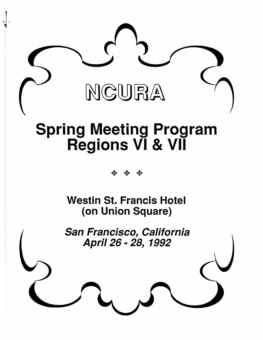

# **Spring Meeting Program Regions VI & VII**

 $\triangle$  $\triangle$ 

**Westin St. Francis Hotel (on Union Square)**

San Francisco, California April 26 - 28, 1992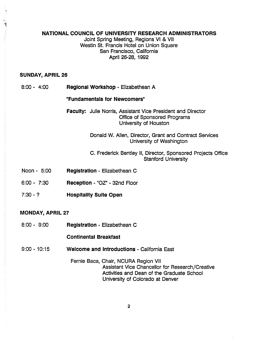#### **NATIONAL COUNCIL OF UNIVERSITY RESEARCH ADMINISTRATORS**

Joint Spring Meeting, Regions VI & VII Westin St. Francis Hotel on Union Square San Francisco, California April 26-28, 1992

#### **SUNDAY, APRIL 26**

8:00- 4:00 **Regional Workshop -** Elizabethean **A**

#### **"Fundamentals for Newcomers"**

**Faculty:** Julie Norris, Assistant Vice President and Director Office of Sponsored Programs University of Houston

> Donald W. Allen, Director, Grant and Contract Services University of Washington

#### C. Frederick Bentley II, Director, Sponsored Projects Office Stanford University

- Noon 5:00 **Registration -** Elizabethean C
- 6:00- 7:30 **Reception -** "OZ" 32nd Floor
- 7:30 ? **Hospitality Suite Open**

#### **MONDAY, APRIL 27**

8:00- 9:00 **Registration -** Elizabethean C

#### **Continental Breakfast**

- 9:00 10:15 **Welcome and Introductions -** California East
	- Fernie Baca, Chair, NCURA Region VII Assistant Vice Chancellor for Research/Creative Activities and Dean of the Graduate School University of Colorado at Denver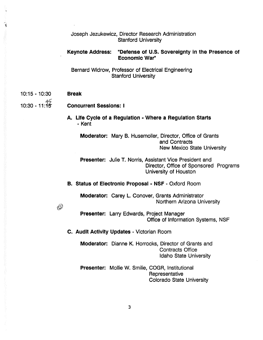Joseph Jezukewicz, Director Research Administration Stanford University

### **Keynote Address: "Defense of U.S. Sovereignty in the Presence of Economic War"**

Bernard Widrow, Professor of Electrical Engineering Stanford University

10:15 -10:30 **Break**

4

## 10:30 -11:^5" **Concurrent Sessions: <sup>I</sup>**

 $\bigotimes$ 

**A. Life Cycle of a Regulation - Where a Regulation Starts** - Kent

**Moderator:** Mary B. Husemoller, Director, Office of Grants and Contracts New Mexico State University

**Presenter:** Julie T. Norris, Assistant Vice President and Director, Office of Sponsored Programs University of Houston

**B. Status of Electronic Proposal - NSF -** Oxford Room

**Moderator:** Carey L. Conover, Grants Administrator Northern Arizona University

**Presenter:** Larry Edwards, Project Manager Office of Information Systems, NSF

**C. Audit Activity Updates -** Victorian Room

**Moderator:** Dianne K. Horrocks, Director of Grants and Contracts Office Idaho State University

**Presenter:** Mollie W. Smilie, COGR, Institutional **Representative** Colorado State University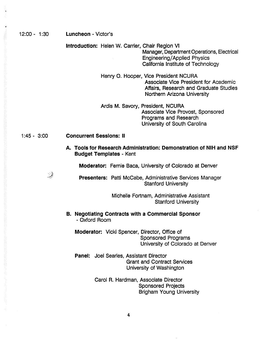| $12:00 - 1:30$ | <b>Luncheon - Victor's</b>                                                                                                                                         |
|----------------|--------------------------------------------------------------------------------------------------------------------------------------------------------------------|
|                | Introduction: Helen W. Carrier, Chair Region VI<br>Manager, Department Operations, Electrical<br>Engineering/Applied Physics<br>California Institute of Technology |
|                | Henry O. Hooper, Vice President NCURA<br>Associate Vice President for Academic<br>Affairs, Research and Graduate Studies<br>Northern Arizona University            |
|                | Ardis M. Savory, President, NCURA<br>Associate Vice Provost, Sponsored<br>Programs and Research<br>University of South Carolina                                    |
| $1:45 - 3:00$  | <b>Concurrent Sessions: II</b>                                                                                                                                     |
|                | A. Tools for Research Administration: Demonstration of NIH and NSF<br><b>Budget Templates - Kent</b>                                                               |
|                | <b>Moderator:</b> Fernie Baca, University of Colorado at Denver                                                                                                    |
| D              | <b>Presenters: Patti McCabe, Administrative Services Manager</b><br><b>Stanford University</b>                                                                     |
|                | Michelle Fortnam, Administrative Assistant<br><b>Stanford University</b>                                                                                           |
|                | <b>B. Negotiating Contracts with a Commercial Sponsor</b><br>- Oxford Room                                                                                         |
|                | <b>Moderator:</b> Vicki Spencer, Director, Office of<br><b>Sponsored Programs</b><br>University of Colorado at Denver                                              |
|                | <b>Panel:</b> Joel Searles, Assistant Director<br><b>Grant and Contract Services</b><br>University of Washington                                                   |
|                | Carol R. Hardman, Associate Director<br><b>Sponsored Projects</b><br><b>Brigham Young University</b>                                                               |

**4**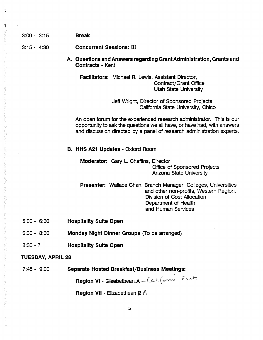3:15- 4:30 **Concurrent Sessions: III**

**A. Questions and Answers regarding Grant Administration, Grants and Contracts -** Kent

**Facilitators:** Michael **R.** Lewis, Assistant Director, Contract/Grant Office Utah State University

> Jeff Wright, Director of Sponsored Projects California State University, Chico

An open forum for the experienced research administrator. This is our opportunity to ask the questions we all have, or have had, with answers and discussion directed by a panel of research administration experts.

**B. HHS A21 Updates -** Oxford Room

**Moderator:** Gary L. Chaffins, Director Office of Sponsored Projects Arizona State University

**Presenter:** Wallace Chan, Branch Manager, Colleges, Universities and other non-profits, Western Region, Division of Cost Allocation Department of Health and Human Services

- 5:00 6:30 **Hospitality Suite Open**
- 6:30 8:30 **Monday Night Dinner Groups** (To be arranged)
- 8:30 ? **Hospitality Suite Open**

#### **TUESDAY, APRIL 28**

7:45 - 9:00 **Separate Hosted Breakfast/Business Meetings:**

Region VI - Elizabethean A California East.

**Region VII** - Elizabethean  $\beta$   $\hat{\pi}$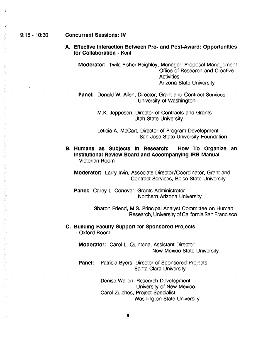#### 9:15 -10:30 **Concurrent Sessions: IV**

**A. Effective Interaction Between Pre- and Post-Award: Opportunities for Collaboration -** Kent

**Moderator:** Twila Fisher Reighley, Manager, Proposal Management Office of Research and Creative **Activities** Arizona State University

**Panel:** Donald W. Allen, Director, Grant and Contract Services University of Washington

> M.K. Jeppesen, Director of Contracts and Grants Utah State University

Leticia A. McCart, Director of Program Development San Jose State University Foundation

**B. Humans as Subjects In Research: How To Organize an Institutional Review Board and Accompanying IRB Manual** - Victorian Room

**Moderator:** Larry Irvin, Associate Director/Coordinator, Grant and Contract Services, Boise State University

Panel: Carey L. Conover, Grants Administrator Northern Arizona University

> Sharon Friend, M.S. Principal Analyst Committee on Human Research, University of California San Francisco

**C. Building Faculty Support for Sponsored Projects** - Oxford Room

**Moderator:** Carol L. Quintana, Assistant Director New Mexico State University

**Panel:** Patricia Byers, Director of Sponsored Projects Santa Clara University

> Denise Wallen, Research Development University of New Mexico Carol Zuiches, Project Specialist Washington State University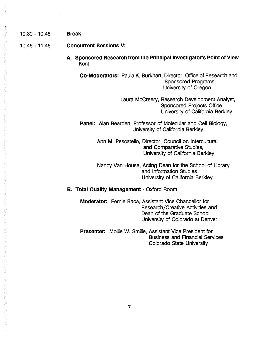10:30 - 10:45 **Break**

10:45 - 11:45 **Concurrent Sessions V:**

**A. Sponsored Research from the Principal Investigator's Point of View** - Kent

**Co-Moderators:** Paula K. Burkhart, Director, Office of Research and Sponsored Programs University of Oregon

> Laura McCreery, Research Development Analyst, Sponsored Projects Office University of California Berkley

**Panel:** Alan Bearden, Professor of Molecular and Cell Biology, University of California Berkley

> Ann M. Pescatello, Director, Council on Intercultural and Comparative Studies, University of California Berkley

Nancy Van House, Acting Dean for the School of Library and Information Studies University of California Berkley

#### **B. Total Quality Management -** Oxford Room

**Moderator:** Fernie Baca, Assistant Vice Chancellor for Research/Creative Activities and Dean of the Graduate School University of Colorado at Denver

Colorado State University **Presenter:** Mollie W. Smilie, Assistant Vice President for Business and Financial Services